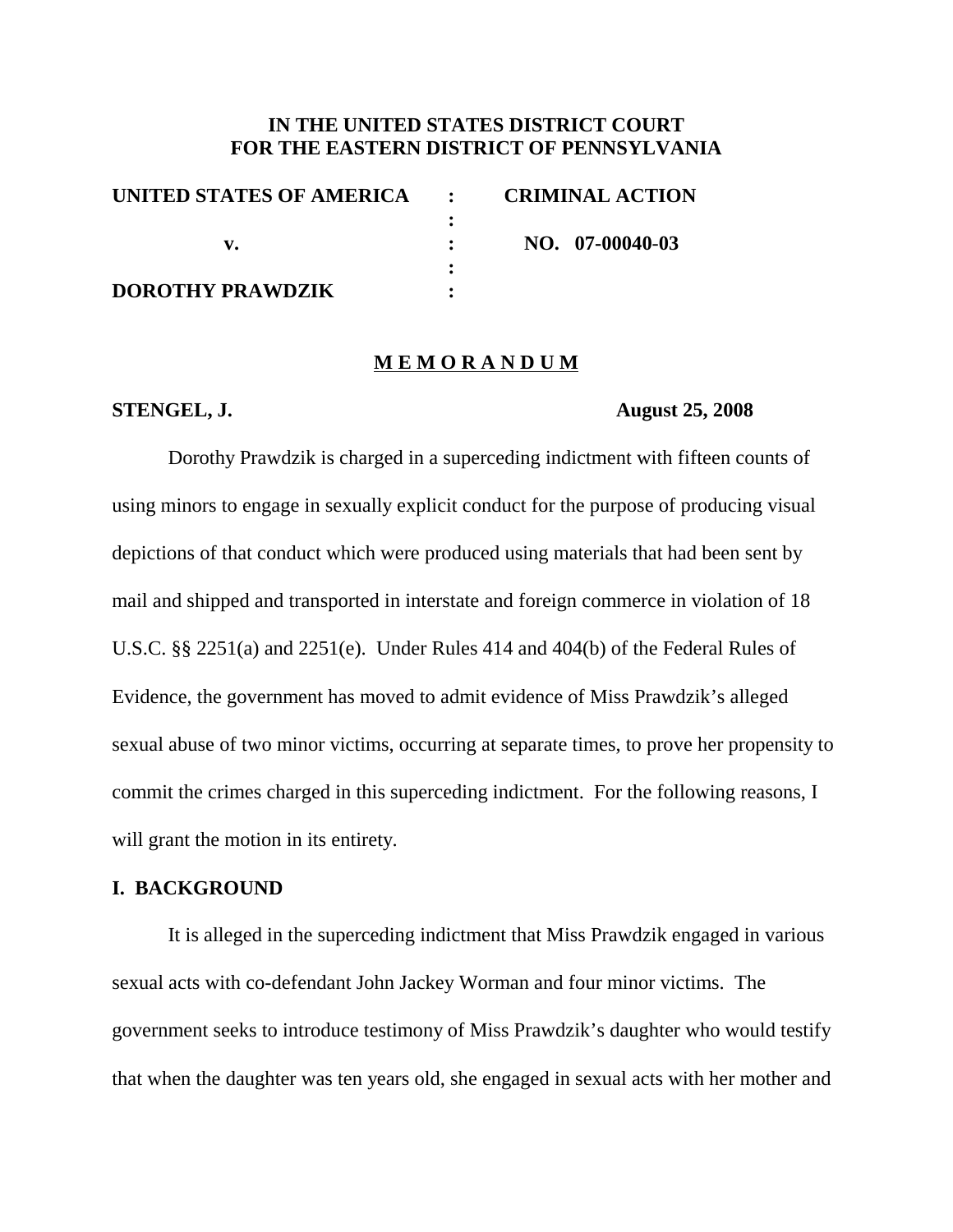## **IN THE UNITED STATES DISTRICT COURT FOR THE EASTERN DISTRICT OF PENNSYLVANIA**

| UNITED STATES OF AMERICA : | <b>CRIMINAL ACTION</b> |
|----------------------------|------------------------|
|                            |                        |
|                            | NO. 07-00040-03        |
|                            |                        |
| <b>DOROTHY PRAWDZIK</b>    |                        |

#### **M E M O R A N D U M**

#### **STENGEL, J. August 25, 2008**

Dorothy Prawdzik is charged in a superceding indictment with fifteen counts of using minors to engage in sexually explicit conduct for the purpose of producing visual depictions of that conduct which were produced using materials that had been sent by mail and shipped and transported in interstate and foreign commerce in violation of 18 U.S.C. §§ 2251(a) and 2251(e). Under Rules 414 and 404(b) of the Federal Rules of Evidence, the government has moved to admit evidence of Miss Prawdzik's alleged sexual abuse of two minor victims, occurring at separate times, to prove her propensity to commit the crimes charged in this superceding indictment. For the following reasons, I will grant the motion in its entirety.

### **I. BACKGROUND**

It is alleged in the superceding indictment that Miss Prawdzik engaged in various sexual acts with co-defendant John Jackey Worman and four minor victims. The government seeks to introduce testimony of Miss Prawdzik's daughter who would testify that when the daughter was ten years old, she engaged in sexual acts with her mother and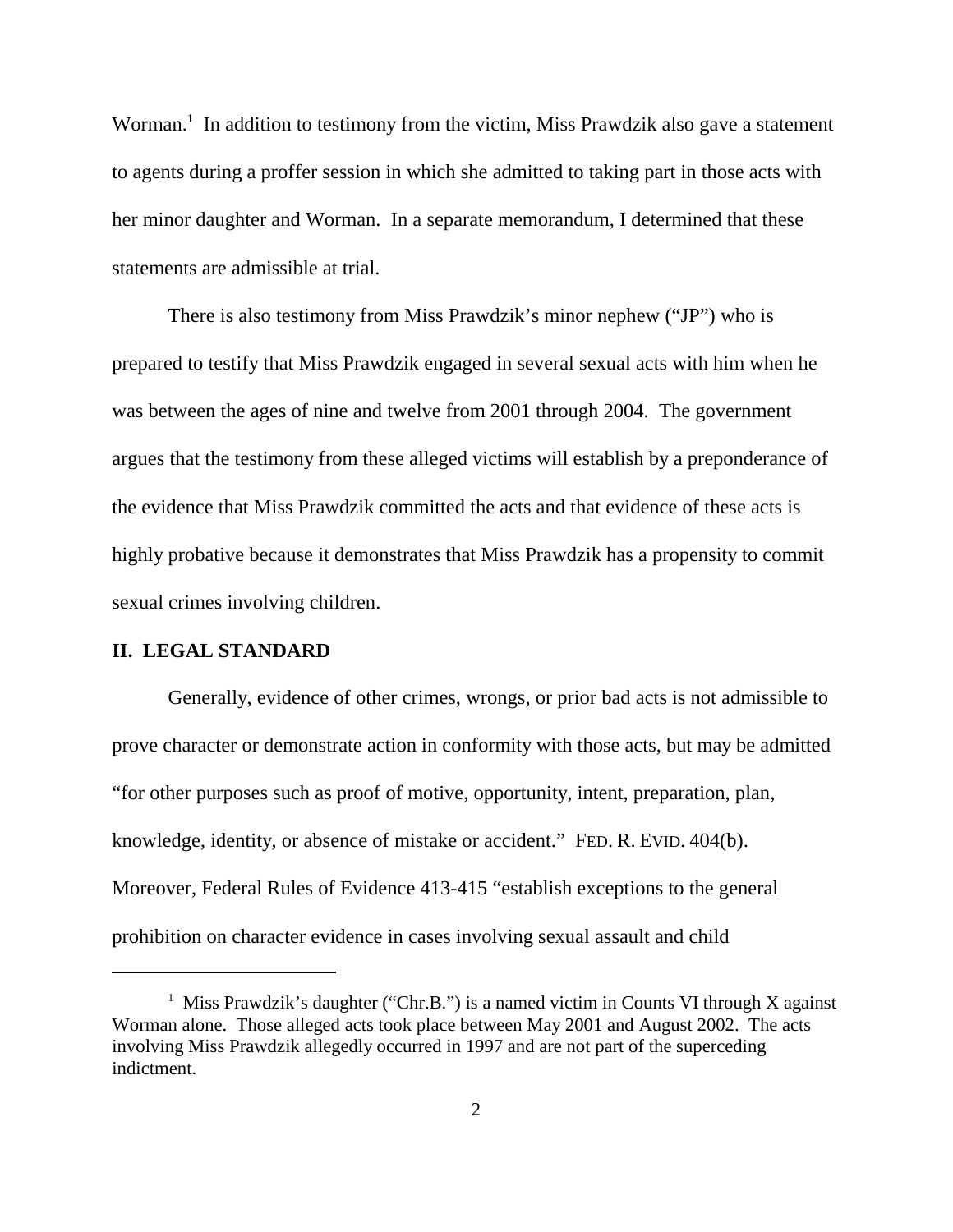Worman.<sup>1</sup> In addition to testimony from the victim, Miss Prawdzik also gave a statement to agents during a proffer session in which she admitted to taking part in those acts with her minor daughter and Worman. In a separate memorandum, I determined that these statements are admissible at trial.

There is also testimony from Miss Prawdzik's minor nephew ("JP") who is prepared to testify that Miss Prawdzik engaged in several sexual acts with him when he was between the ages of nine and twelve from 2001 through 2004. The government argues that the testimony from these alleged victims will establish by a preponderance of the evidence that Miss Prawdzik committed the acts and that evidence of these acts is highly probative because it demonstrates that Miss Prawdzik has a propensity to commit sexual crimes involving children.

## **II. LEGAL STANDARD**

Generally, evidence of other crimes, wrongs, or prior bad acts is not admissible to prove character or demonstrate action in conformity with those acts, but may be admitted "for other purposes such as proof of motive, opportunity, intent, preparation, plan, knowledge, identity, or absence of mistake or accident." FED. R. EVID. 404(b). Moreover, Federal Rules of Evidence 413-415 "establish exceptions to the general prohibition on character evidence in cases involving sexual assault and child

<sup>&</sup>lt;sup>1</sup> Miss Prawdzik's daughter ("Chr.B.") is a named victim in Counts VI through X against Worman alone. Those alleged acts took place between May 2001 and August 2002. The acts involving Miss Prawdzik allegedly occurred in 1997 and are not part of the superceding indictment.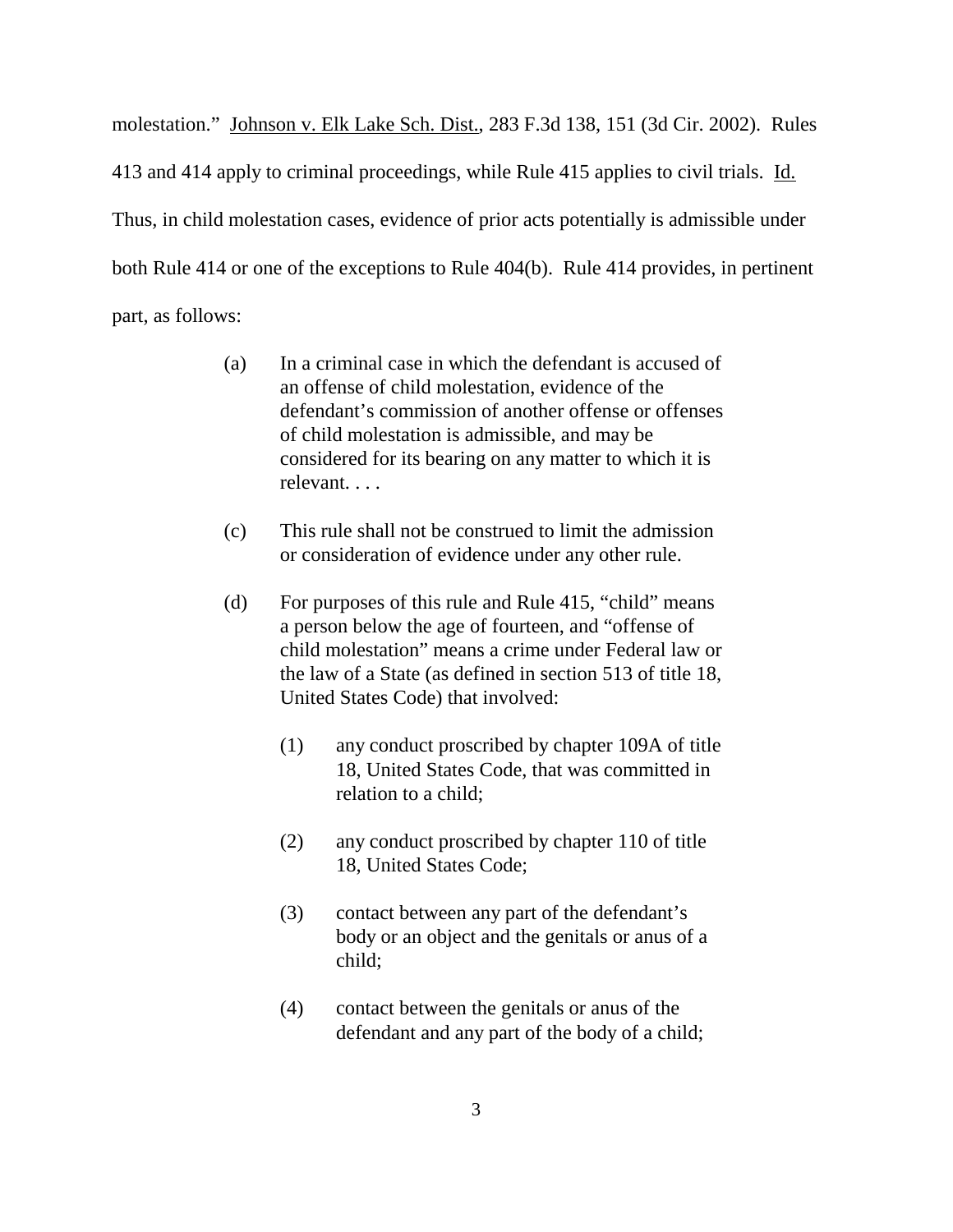molestation." Johnson v. Elk Lake Sch. Dist., 283 F.3d 138, 151 (3d Cir. 2002). Rules 413 and 414 apply to criminal proceedings, while Rule 415 applies to civil trials. Id. Thus, in child molestation cases, evidence of prior acts potentially is admissible under both Rule 414 or one of the exceptions to Rule 404(b). Rule 414 provides, in pertinent part, as follows:

- (a) In a criminal case in which the defendant is accused of an offense of child molestation, evidence of the defendant's commission of another offense or offenses of child molestation is admissible, and may be considered for its bearing on any matter to which it is relevant. . . .
- (c) This rule shall not be construed to limit the admission or consideration of evidence under any other rule.
- (d) For purposes of this rule and Rule 415, "child" means a person below the age of fourteen, and "offense of child molestation" means a crime under Federal law or the law of a State (as defined in section 513 of title 18, United States Code) that involved:
	- (1) any conduct proscribed by chapter 109A of title 18, United States Code, that was committed in relation to a child;
	- (2) any conduct proscribed by chapter 110 of title 18, United States Code;
	- (3) contact between any part of the defendant's body or an object and the genitals or anus of a child;
	- (4) contact between the genitals or anus of the defendant and any part of the body of a child;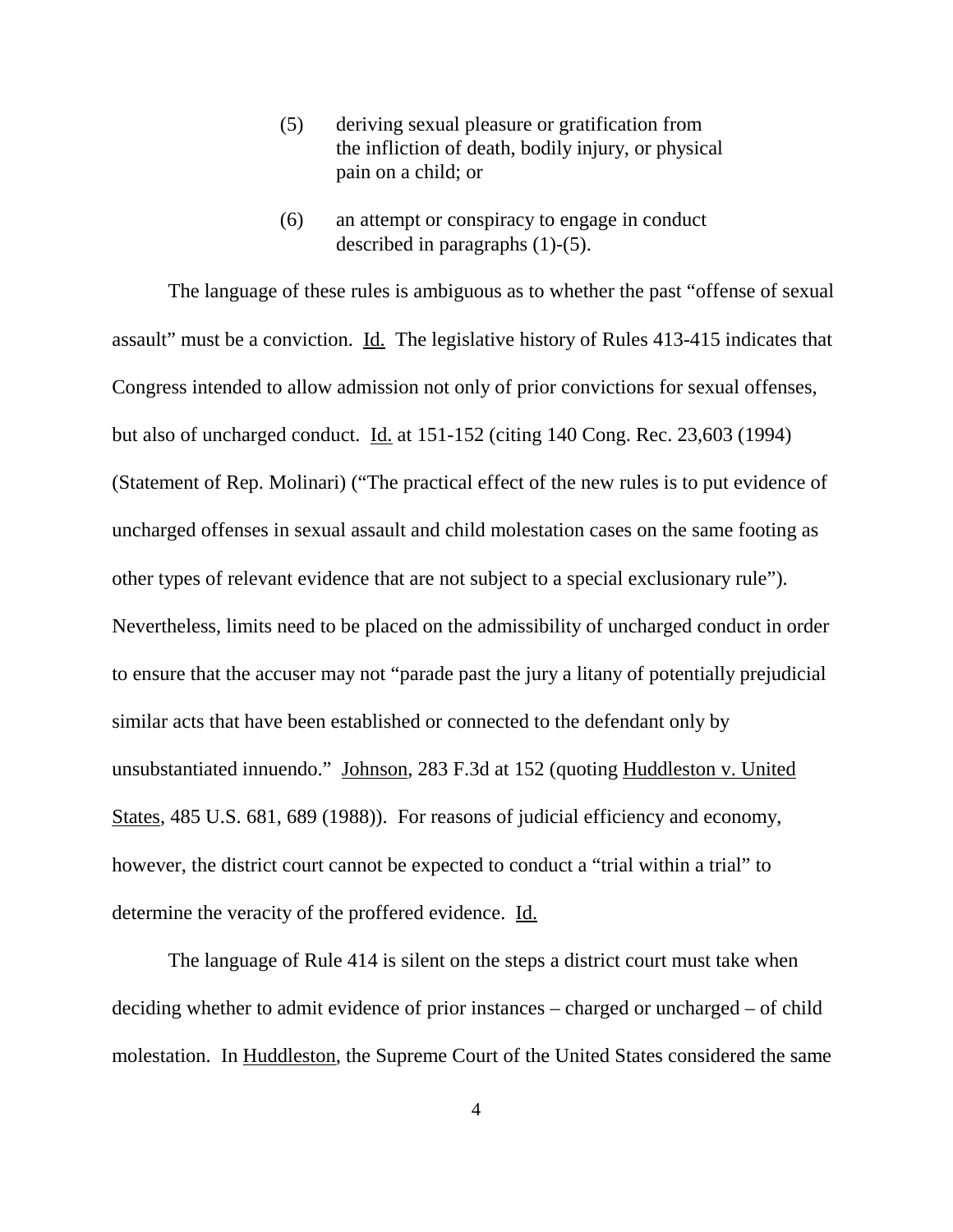- (5) deriving sexual pleasure or gratification from the infliction of death, bodily injury, or physical pain on a child; or
- (6) an attempt or conspiracy to engage in conduct described in paragraphs (1)-(5).

The language of these rules is ambiguous as to whether the past "offense of sexual assault" must be a conviction. Id. The legislative history of Rules 413-415 indicates that Congress intended to allow admission not only of prior convictions for sexual offenses, but also of uncharged conduct. Id. at 151-152 (citing 140 Cong. Rec. 23,603 (1994) (Statement of Rep. Molinari) ("The practical effect of the new rules is to put evidence of uncharged offenses in sexual assault and child molestation cases on the same footing as other types of relevant evidence that are not subject to a special exclusionary rule"). Nevertheless, limits need to be placed on the admissibility of uncharged conduct in order to ensure that the accuser may not "parade past the jury a litany of potentially prejudicial similar acts that have been established or connected to the defendant only by unsubstantiated innuendo." Johnson, 283 F.3d at 152 (quoting Huddleston v. United States, 485 U.S. 681, 689 (1988)). For reasons of judicial efficiency and economy, however, the district court cannot be expected to conduct a "trial within a trial" to determine the veracity of the proffered evidence. Id.

The language of Rule 414 is silent on the steps a district court must take when deciding whether to admit evidence of prior instances – charged or uncharged – of child molestation. In Huddleston, the Supreme Court of the United States considered the same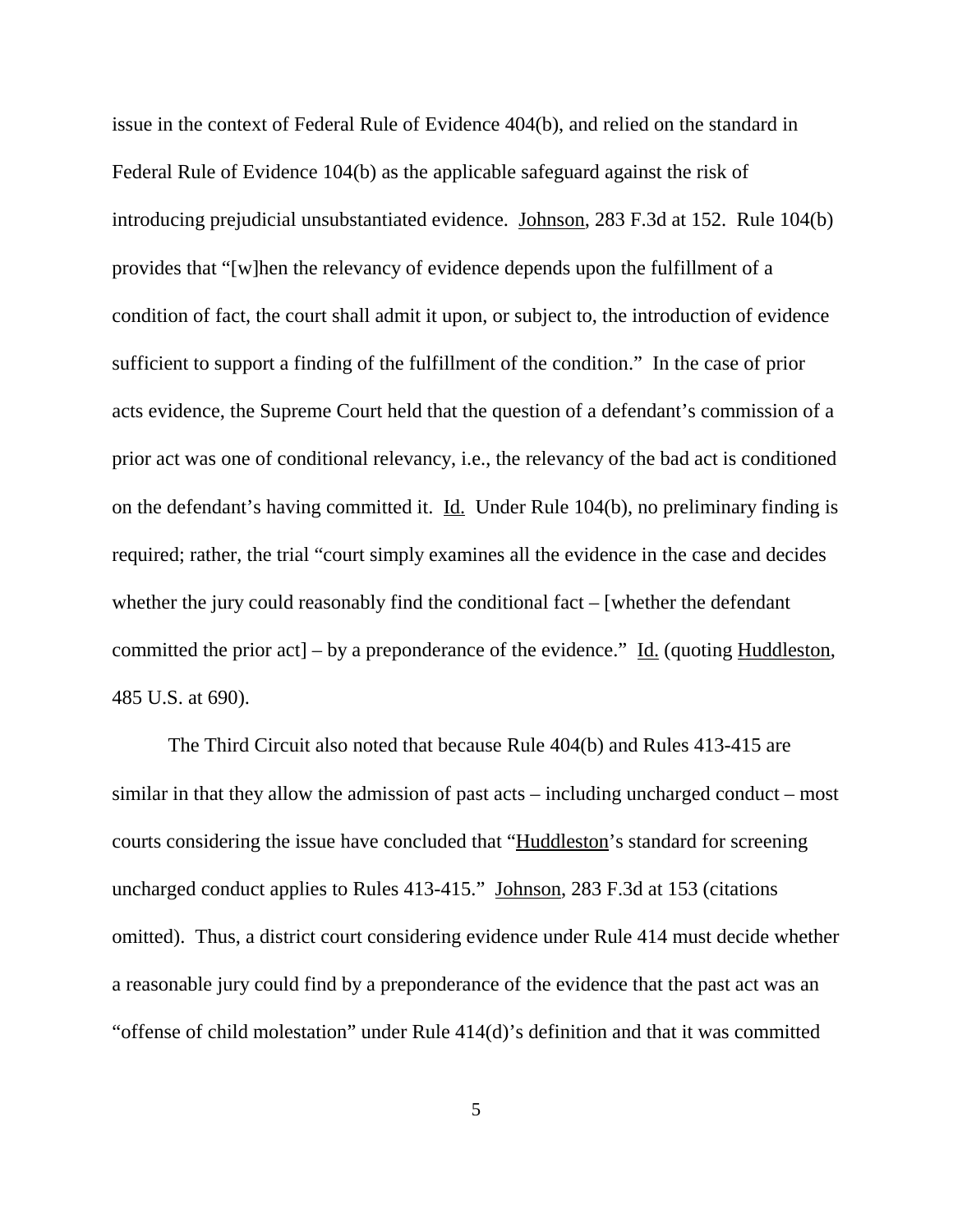issue in the context of Federal Rule of Evidence 404(b), and relied on the standard in Federal Rule of Evidence 104(b) as the applicable safeguard against the risk of introducing prejudicial unsubstantiated evidence. Johnson, 283 F.3d at 152. Rule 104(b) provides that "[w]hen the relevancy of evidence depends upon the fulfillment of a condition of fact, the court shall admit it upon, or subject to, the introduction of evidence sufficient to support a finding of the fulfillment of the condition." In the case of prior acts evidence, the Supreme Court held that the question of a defendant's commission of a prior act was one of conditional relevancy, i.e., the relevancy of the bad act is conditioned on the defendant's having committed it. Id. Under Rule 104(b), no preliminary finding is required; rather, the trial "court simply examines all the evidence in the case and decides whether the jury could reasonably find the conditional fact – [whether the defendant committed the prior act] – by a preponderance of the evidence." Id. (quoting Huddleston, 485 U.S. at 690).

The Third Circuit also noted that because Rule 404(b) and Rules 413-415 are similar in that they allow the admission of past acts – including uncharged conduct – most courts considering the issue have concluded that "Huddleston's standard for screening uncharged conduct applies to Rules 413-415." Johnson, 283 F.3d at 153 (citations omitted). Thus, a district court considering evidence under Rule 414 must decide whether a reasonable jury could find by a preponderance of the evidence that the past act was an "offense of child molestation" under Rule 414(d)'s definition and that it was committed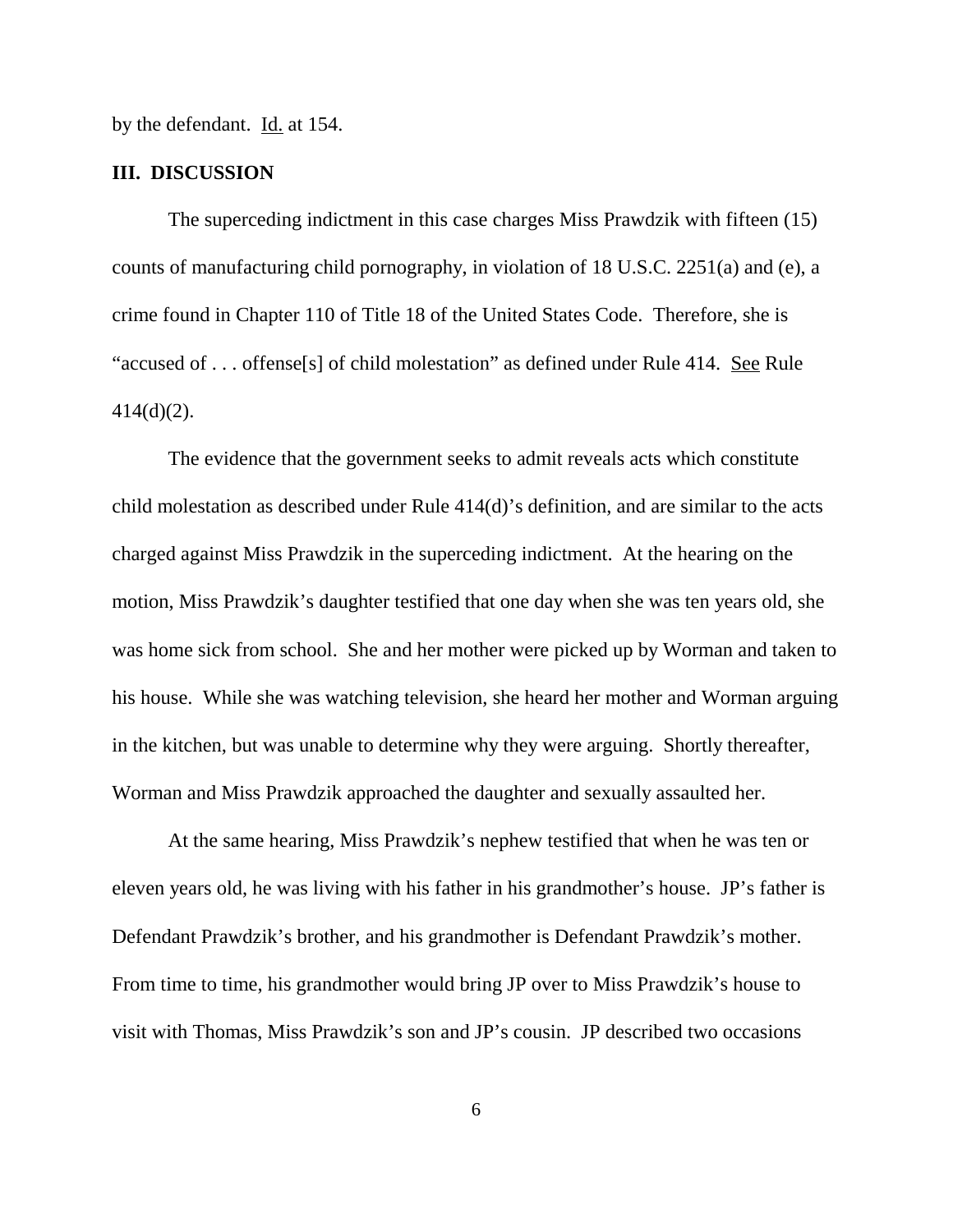by the defendant. Id. at 154.

### **III. DISCUSSION**

The superceding indictment in this case charges Miss Prawdzik with fifteen (15) counts of manufacturing child pornography, in violation of 18 U.S.C. 2251(a) and (e), a crime found in Chapter 110 of Title 18 of the United States Code. Therefore, she is "accused of . . . offense<sup>[s]</sup> of child molestation" as defined under Rule 414. See Rule 414(d)(2).

The evidence that the government seeks to admit reveals acts which constitute child molestation as described under Rule 414(d)'s definition, and are similar to the acts charged against Miss Prawdzik in the superceding indictment. At the hearing on the motion, Miss Prawdzik's daughter testified that one day when she was ten years old, she was home sick from school. She and her mother were picked up by Worman and taken to his house. While she was watching television, she heard her mother and Worman arguing in the kitchen, but was unable to determine why they were arguing. Shortly thereafter, Worman and Miss Prawdzik approached the daughter and sexually assaulted her.

At the same hearing, Miss Prawdzik's nephew testified that when he was ten or eleven years old, he was living with his father in his grandmother's house. JP's father is Defendant Prawdzik's brother, and his grandmother is Defendant Prawdzik's mother. From time to time, his grandmother would bring JP over to Miss Prawdzik's house to visit with Thomas, Miss Prawdzik's son and JP's cousin. JP described two occasions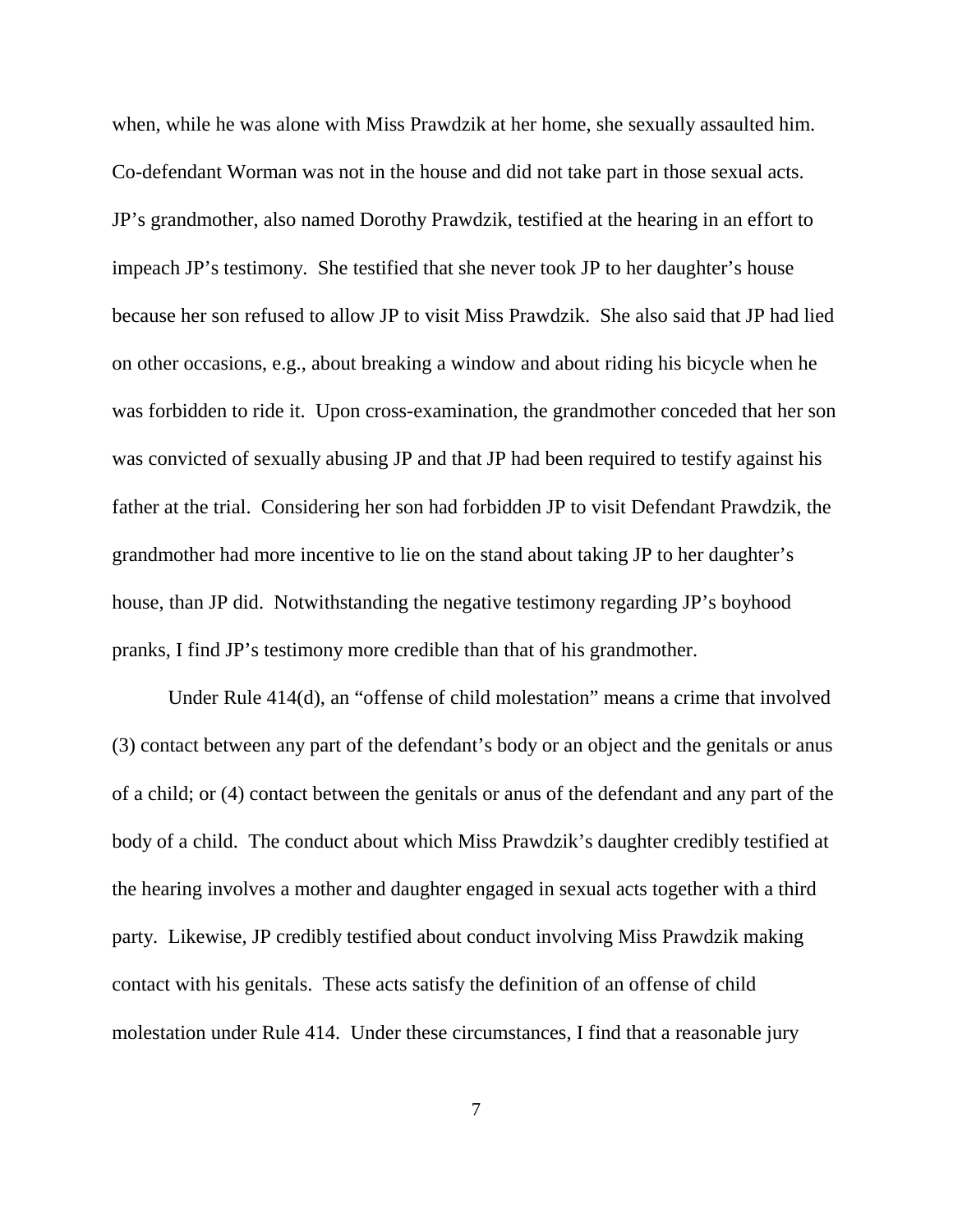when, while he was alone with Miss Prawdzik at her home, she sexually assaulted him. Co-defendant Worman was not in the house and did not take part in those sexual acts. JP's grandmother, also named Dorothy Prawdzik, testified at the hearing in an effort to impeach JP's testimony. She testified that she never took JP to her daughter's house because her son refused to allow JP to visit Miss Prawdzik. She also said that JP had lied on other occasions, e.g., about breaking a window and about riding his bicycle when he was forbidden to ride it. Upon cross-examination, the grandmother conceded that her son was convicted of sexually abusing JP and that JP had been required to testify against his father at the trial. Considering her son had forbidden JP to visit Defendant Prawdzik, the grandmother had more incentive to lie on the stand about taking JP to her daughter's house, than JP did. Notwithstanding the negative testimony regarding JP's boyhood pranks, I find JP's testimony more credible than that of his grandmother.

Under Rule 414(d), an "offense of child molestation" means a crime that involved (3) contact between any part of the defendant's body or an object and the genitals or anus of a child; or (4) contact between the genitals or anus of the defendant and any part of the body of a child. The conduct about which Miss Prawdzik's daughter credibly testified at the hearing involves a mother and daughter engaged in sexual acts together with a third party. Likewise, JP credibly testified about conduct involving Miss Prawdzik making contact with his genitals. These acts satisfy the definition of an offense of child molestation under Rule 414. Under these circumstances, I find that a reasonable jury

7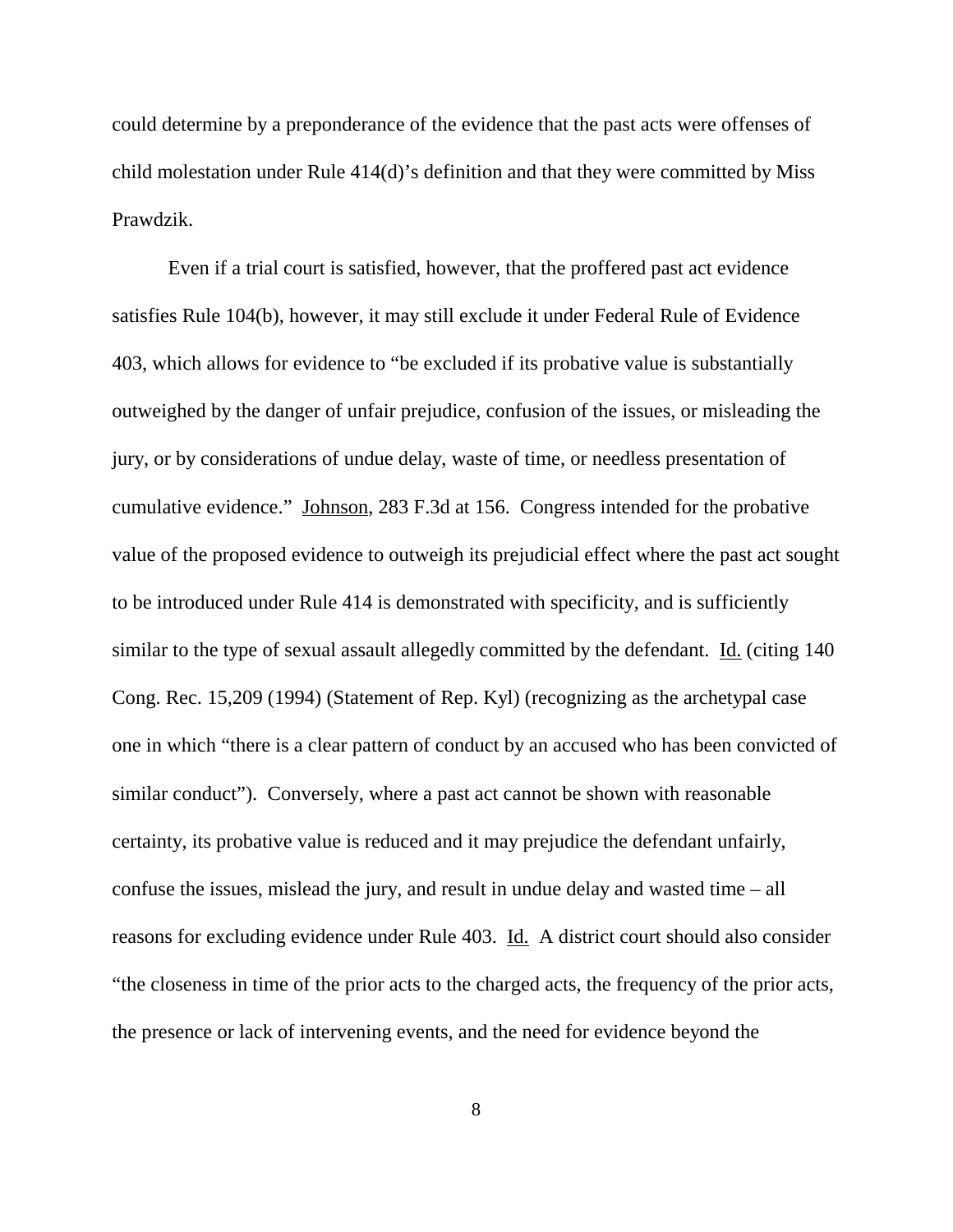could determine by a preponderance of the evidence that the past acts were offenses of child molestation under Rule 414(d)'s definition and that they were committed by Miss Prawdzik.

Even if a trial court is satisfied, however, that the proffered past act evidence satisfies Rule 104(b), however, it may still exclude it under Federal Rule of Evidence 403, which allows for evidence to "be excluded if its probative value is substantially outweighed by the danger of unfair prejudice, confusion of the issues, or misleading the jury, or by considerations of undue delay, waste of time, or needless presentation of cumulative evidence." Johnson, 283 F.3d at 156. Congress intended for the probative value of the proposed evidence to outweigh its prejudicial effect where the past act sought to be introduced under Rule 414 is demonstrated with specificity, and is sufficiently similar to the type of sexual assault allegedly committed by the defendant. Id. (citing 140 Cong. Rec. 15,209 (1994) (Statement of Rep. Kyl) (recognizing as the archetypal case one in which "there is a clear pattern of conduct by an accused who has been convicted of similar conduct"). Conversely, where a past act cannot be shown with reasonable certainty, its probative value is reduced and it may prejudice the defendant unfairly, confuse the issues, mislead the jury, and result in undue delay and wasted time – all reasons for excluding evidence under Rule 403. Id. A district court should also consider "the closeness in time of the prior acts to the charged acts, the frequency of the prior acts, the presence or lack of intervening events, and the need for evidence beyond the

8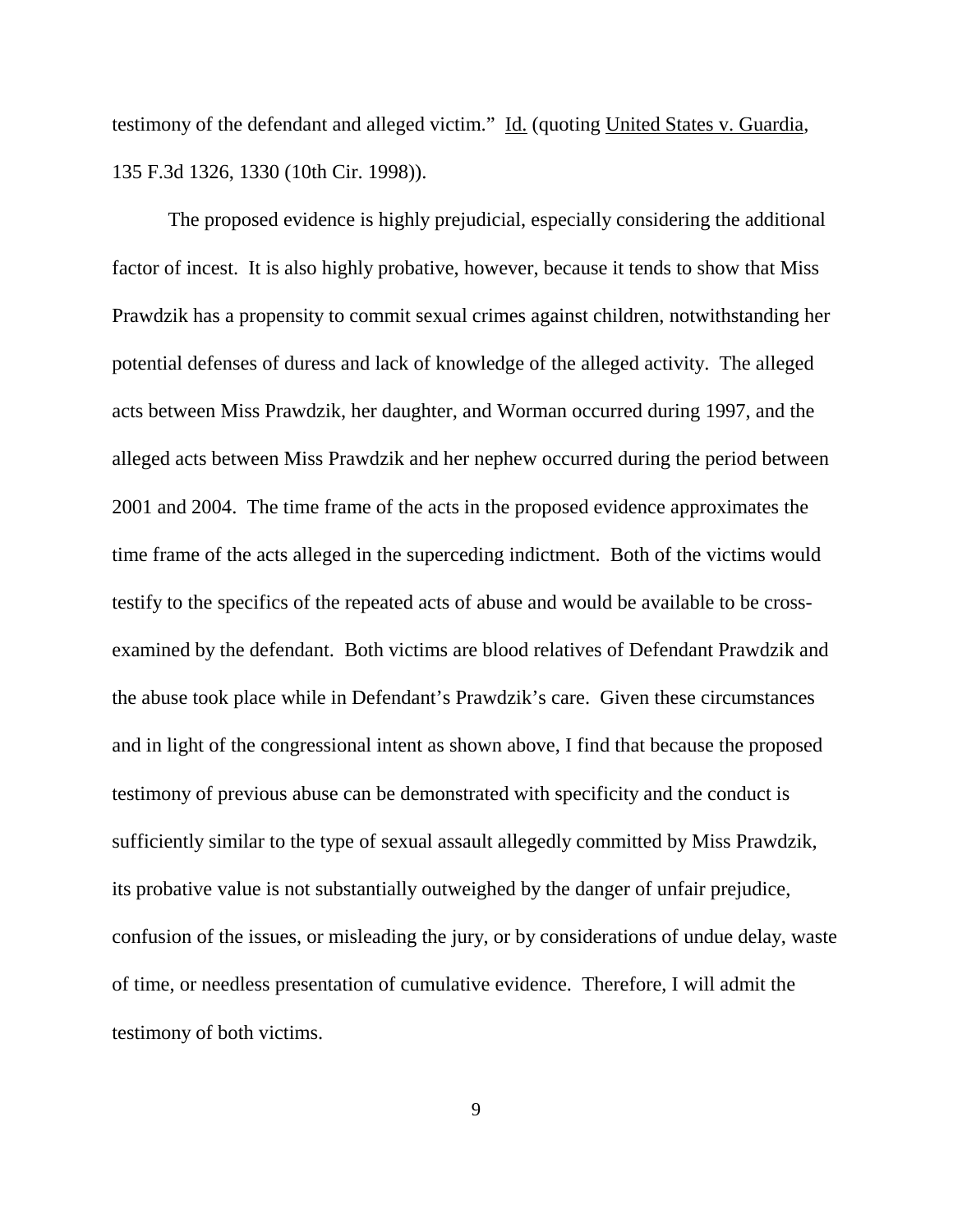testimony of the defendant and alleged victim." Id. (quoting United States v. Guardia, 135 F.3d 1326, 1330 (10th Cir. 1998)).

The proposed evidence is highly prejudicial, especially considering the additional factor of incest. It is also highly probative, however, because it tends to show that Miss Prawdzik has a propensity to commit sexual crimes against children, notwithstanding her potential defenses of duress and lack of knowledge of the alleged activity. The alleged acts between Miss Prawdzik, her daughter, and Worman occurred during 1997, and the alleged acts between Miss Prawdzik and her nephew occurred during the period between 2001 and 2004. The time frame of the acts in the proposed evidence approximates the time frame of the acts alleged in the superceding indictment. Both of the victims would testify to the specifics of the repeated acts of abuse and would be available to be crossexamined by the defendant. Both victims are blood relatives of Defendant Prawdzik and the abuse took place while in Defendant's Prawdzik's care. Given these circumstances and in light of the congressional intent as shown above, I find that because the proposed testimony of previous abuse can be demonstrated with specificity and the conduct is sufficiently similar to the type of sexual assault allegedly committed by Miss Prawdzik, its probative value is not substantially outweighed by the danger of unfair prejudice, confusion of the issues, or misleading the jury, or by considerations of undue delay, waste of time, or needless presentation of cumulative evidence. Therefore, I will admit the testimony of both victims.

9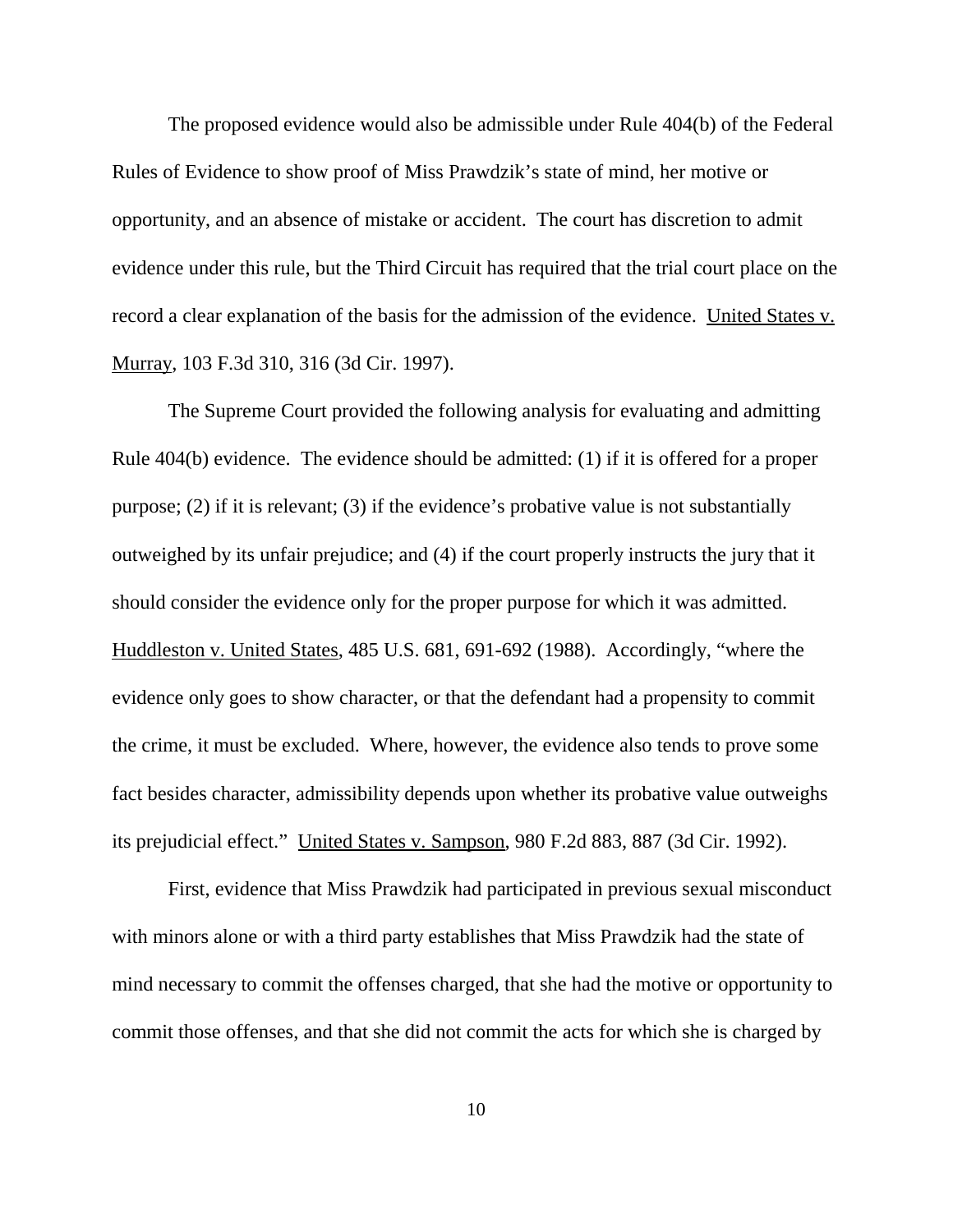The proposed evidence would also be admissible under Rule 404(b) of the Federal Rules of Evidence to show proof of Miss Prawdzik's state of mind, her motive or opportunity, and an absence of mistake or accident. The court has discretion to admit evidence under this rule, but the Third Circuit has required that the trial court place on the record a clear explanation of the basis for the admission of the evidence. United States v. Murray, 103 F.3d 310, 316 (3d Cir. 1997).

The Supreme Court provided the following analysis for evaluating and admitting Rule 404(b) evidence. The evidence should be admitted: (1) if it is offered for a proper purpose; (2) if it is relevant; (3) if the evidence's probative value is not substantially outweighed by its unfair prejudice; and (4) if the court properly instructs the jury that it should consider the evidence only for the proper purpose for which it was admitted. Huddleston v. United States, 485 U.S. 681, 691-692 (1988). Accordingly, "where the evidence only goes to show character, or that the defendant had a propensity to commit the crime, it must be excluded. Where, however, the evidence also tends to prove some fact besides character, admissibility depends upon whether its probative value outweighs its prejudicial effect." United States v. Sampson, 980 F.2d 883, 887 (3d Cir. 1992).

First, evidence that Miss Prawdzik had participated in previous sexual misconduct with minors alone or with a third party establishes that Miss Prawdzik had the state of mind necessary to commit the offenses charged, that she had the motive or opportunity to commit those offenses, and that she did not commit the acts for which she is charged by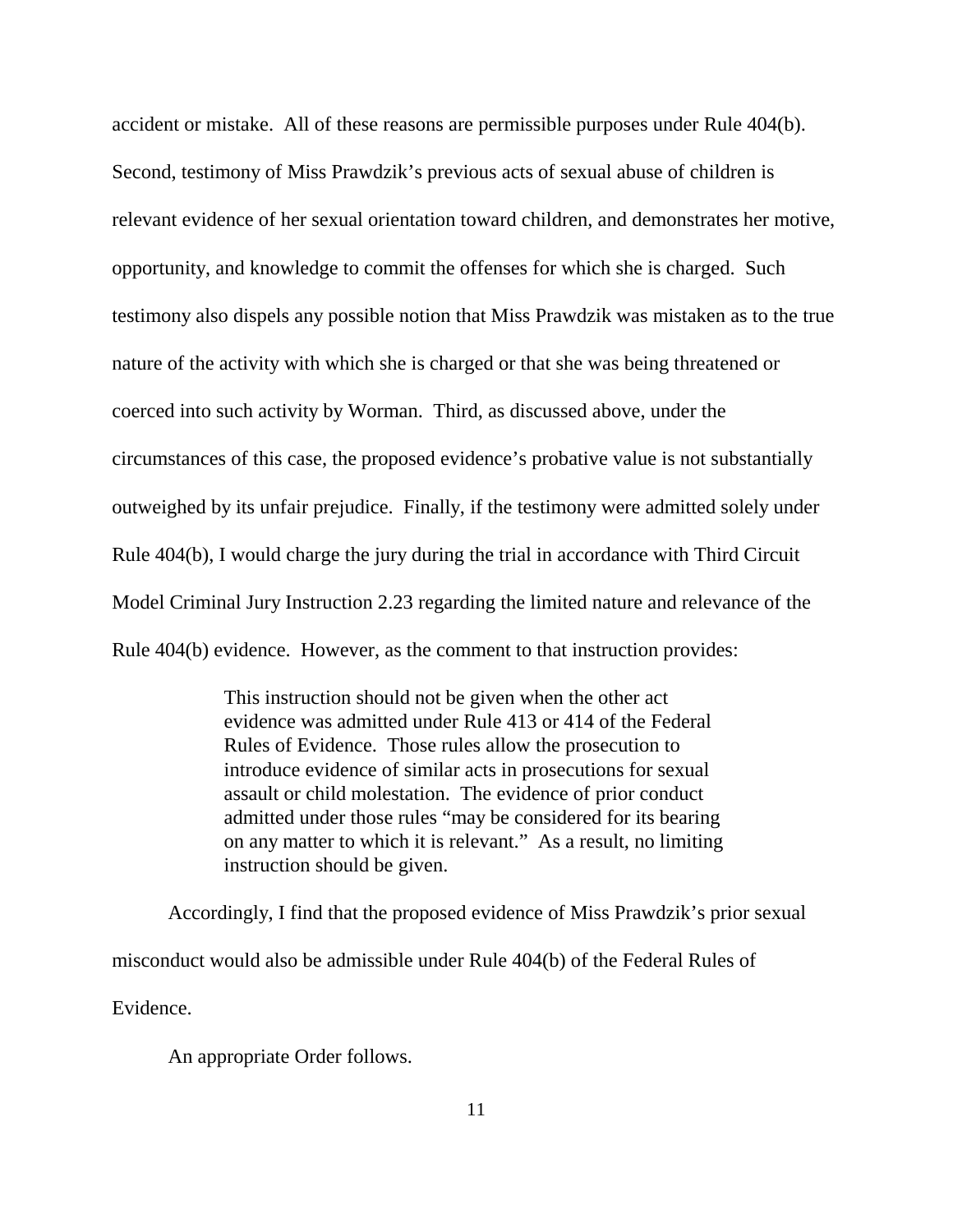accident or mistake. All of these reasons are permissible purposes under Rule 404(b). Second, testimony of Miss Prawdzik's previous acts of sexual abuse of children is relevant evidence of her sexual orientation toward children, and demonstrates her motive, opportunity, and knowledge to commit the offenses for which she is charged. Such testimony also dispels any possible notion that Miss Prawdzik was mistaken as to the true nature of the activity with which she is charged or that she was being threatened or coerced into such activity by Worman. Third, as discussed above, under the circumstances of this case, the proposed evidence's probative value is not substantially outweighed by its unfair prejudice. Finally, if the testimony were admitted solely under Rule 404(b), I would charge the jury during the trial in accordance with Third Circuit Model Criminal Jury Instruction 2.23 regarding the limited nature and relevance of the Rule 404(b) evidence. However, as the comment to that instruction provides:

> This instruction should not be given when the other act evidence was admitted under Rule 413 or 414 of the Federal Rules of Evidence. Those rules allow the prosecution to introduce evidence of similar acts in prosecutions for sexual assault or child molestation. The evidence of prior conduct admitted under those rules "may be considered for its bearing on any matter to which it is relevant." As a result, no limiting instruction should be given.

Accordingly, I find that the proposed evidence of Miss Prawdzik's prior sexual misconduct would also be admissible under Rule 404(b) of the Federal Rules of Evidence.

An appropriate Order follows.